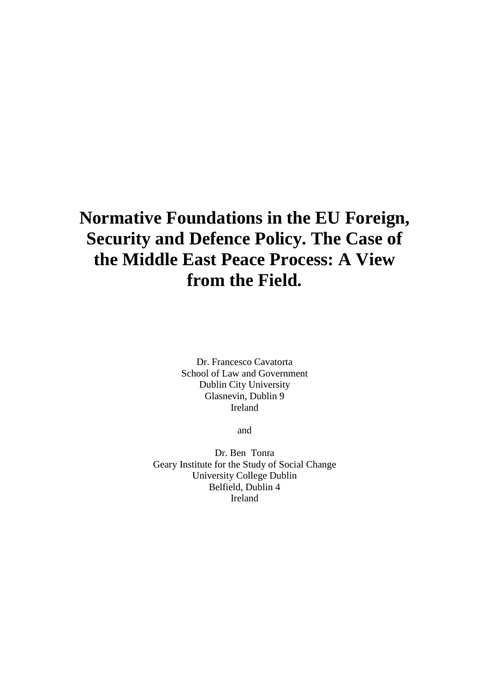# **Normative Foundations in the EU Foreign, Security and Defence Policy. The Case of the Middle East Peace Process: A View from the Field.**

Dr. Francesco Cavatorta School of Law and Government Dublin City University Glasnevin, Dublin 9 Ireland

and

Dr. Ben Tonra Geary Institute for the Study of Social Change University College Dublin Belfield, Dublin 4 Ireland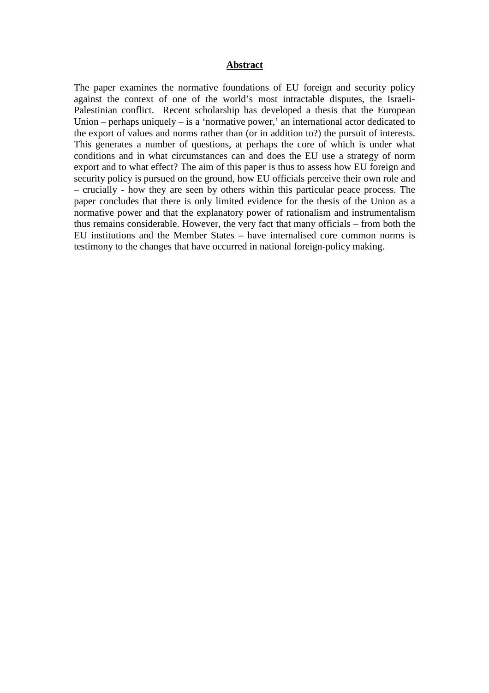## **Abstract**

The paper examines the normative foundations of EU foreign and security policy against the context of one of the world's most intractable disputes, the Israeli-Palestinian conflict. Recent scholarship has developed a thesis that the European Union – perhaps uniquely – is a 'normative power,' an international actor dedicated to the export of values and norms rather than (or in addition to?) the pursuit of interests. This generates a number of questions, at perhaps the core of which is under what conditions and in what circumstances can and does the EU use a strategy of norm export and to what effect? The aim of this paper is thus to assess how EU foreign and security policy is pursued on the ground, how EU officials perceive their own role and – crucially - how they are seen by others within this particular peace process. The paper concludes that there is only limited evidence for the thesis of the Union as a normative power and that the explanatory power of rationalism and instrumentalism thus remains considerable. However, the very fact that many officials – from both the EU institutions and the Member States – have internalised core common norms is testimony to the changes that have occurred in national foreign-policy making.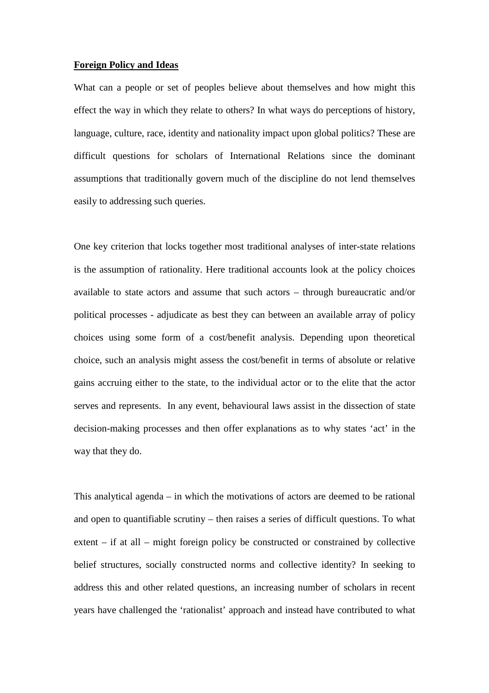### **Foreign Policy and Ideas**

What can a people or set of peoples believe about themselves and how might this effect the way in which they relate to others? In what ways do perceptions of history, language, culture, race, identity and nationality impact upon global politics? These are difficult questions for scholars of International Relations since the dominant assumptions that traditionally govern much of the discipline do not lend themselves easily to addressing such queries.

One key criterion that locks together most traditional analyses of inter-state relations is the assumption of rationality. Here traditional accounts look at the policy choices available to state actors and assume that such actors – through bureaucratic and/or political processes - adjudicate as best they can between an available array of policy choices using some form of a cost/benefit analysis. Depending upon theoretical choice, such an analysis might assess the cost/benefit in terms of absolute or relative gains accruing either to the state, to the individual actor or to the elite that the actor serves and represents. In any event, behavioural laws assist in the dissection of state decision-making processes and then offer explanations as to why states 'act' in the way that they do.

This analytical agenda – in which the motivations of actors are deemed to be rational and open to quantifiable scrutiny – then raises a series of difficult questions. To what extent – if at all – might foreign policy be constructed or constrained by collective belief structures, socially constructed norms and collective identity? In seeking to address this and other related questions, an increasing number of scholars in recent years have challenged the 'rationalist' approach and instead have contributed to what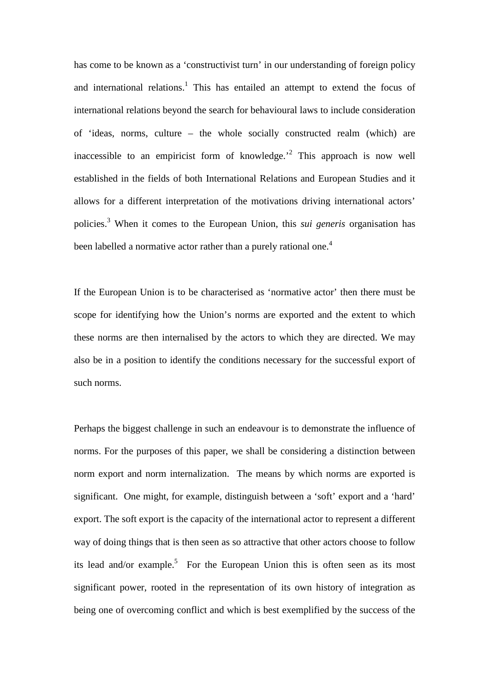has come to be known as a 'constructivist turn' in our understanding of foreign policy and international relations.<sup>1</sup> This has entailed an attempt to extend the focus of international relations beyond the search for behavioural laws to include consideration of 'ideas, norms, culture – the whole socially constructed realm (which) are inaccessible to an empiricist form of knowledge.<sup>2</sup> This approach is now well established in the fields of both International Relations and European Studies and it allows for a different interpretation of the motivations driving international actors' policies.<sup>3</sup> When it comes to the European Union, this *sui generis* organisation has been labelled a normative actor rather than a purely rational one.<sup>4</sup>

If the European Union is to be characterised as 'normative actor' then there must be scope for identifying how the Union's norms are exported and the extent to which these norms are then internalised by the actors to which they are directed. We may also be in a position to identify the conditions necessary for the successful export of such norms.

Perhaps the biggest challenge in such an endeavour is to demonstrate the influence of norms. For the purposes of this paper, we shall be considering a distinction between norm export and norm internalization. The means by which norms are exported is significant. One might, for example, distinguish between a 'soft' export and a 'hard' export. The soft export is the capacity of the international actor to represent a different way of doing things that is then seen as so attractive that other actors choose to follow its lead and/or example.<sup>5</sup> For the European Union this is often seen as its most significant power, rooted in the representation of its own history of integration as being one of overcoming conflict and which is best exemplified by the success of the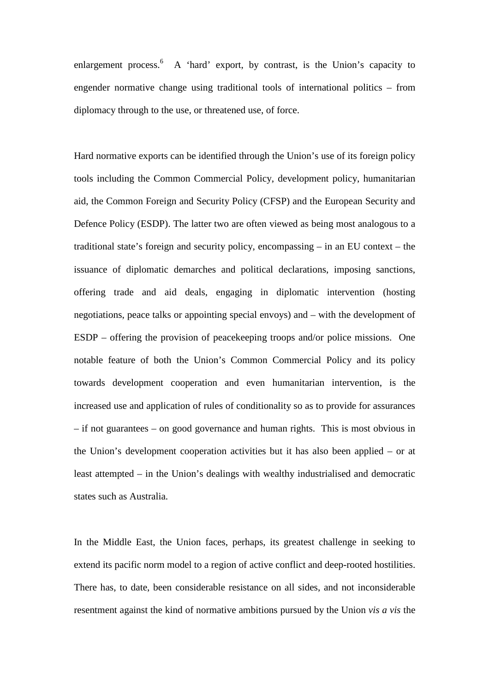enlargement process.<sup>6</sup> A 'hard' export, by contrast, is the Union's capacity to engender normative change using traditional tools of international politics – from diplomacy through to the use, or threatened use, of force.

Hard normative exports can be identified through the Union's use of its foreign policy tools including the Common Commercial Policy, development policy, humanitarian aid, the Common Foreign and Security Policy (CFSP) and the European Security and Defence Policy (ESDP). The latter two are often viewed as being most analogous to a traditional state's foreign and security policy, encompassing – in an EU context – the issuance of diplomatic demarches and political declarations, imposing sanctions, offering trade and aid deals, engaging in diplomatic intervention (hosting negotiations, peace talks or appointing special envoys) and – with the development of ESDP – offering the provision of peacekeeping troops and/or police missions. One notable feature of both the Union's Common Commercial Policy and its policy towards development cooperation and even humanitarian intervention, is the increased use and application of rules of conditionality so as to provide for assurances – if not guarantees – on good governance and human rights. This is most obvious in the Union's development cooperation activities but it has also been applied – or at least attempted – in the Union's dealings with wealthy industrialised and democratic states such as Australia.

In the Middle East, the Union faces, perhaps, its greatest challenge in seeking to extend its pacific norm model to a region of active conflict and deep-rooted hostilities. There has, to date, been considerable resistance on all sides, and not inconsiderable resentment against the kind of normative ambitions pursued by the Union *vis a vis* the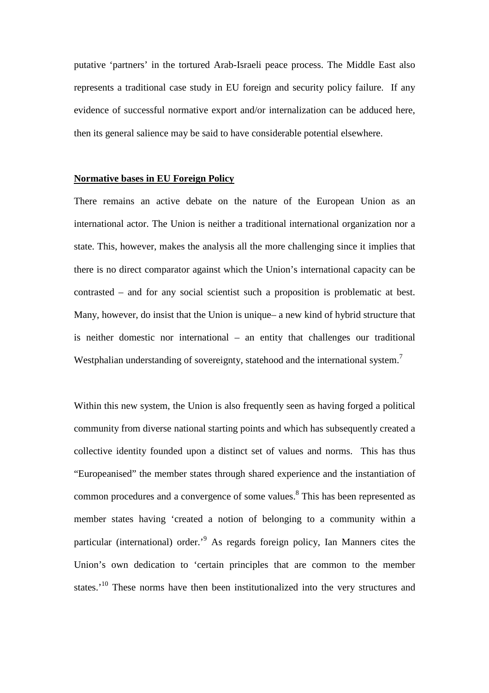putative 'partners' in the tortured Arab-Israeli peace process. The Middle East also represents a traditional case study in EU foreign and security policy failure. If any evidence of successful normative export and/or internalization can be adduced here, then its general salience may be said to have considerable potential elsewhere.

## **Normative bases in EU Foreign Policy**

There remains an active debate on the nature of the European Union as an international actor. The Union is neither a traditional international organization nor a state. This, however, makes the analysis all the more challenging since it implies that there is no direct comparator against which the Union's international capacity can be contrasted – and for any social scientist such a proposition is problematic at best. Many, however, do insist that the Union is unique– a new kind of hybrid structure that is neither domestic nor international – an entity that challenges our traditional Westphalian understanding of sovereignty, statehood and the international system.<sup>7</sup>

Within this new system, the Union is also frequently seen as having forged a political community from diverse national starting points and which has subsequently created a collective identity founded upon a distinct set of values and norms. This has thus "Europeanised" the member states through shared experience and the instantiation of common procedures and a convergence of some values.<sup>8</sup> This has been represented as member states having 'created a notion of belonging to a community within a particular (international) order.<sup>, 9</sup> As regards foreign policy, Ian Manners cites the Union's own dedication to 'certain principles that are common to the member states.'<sup>10</sup> These norms have then been institutionalized into the very structures and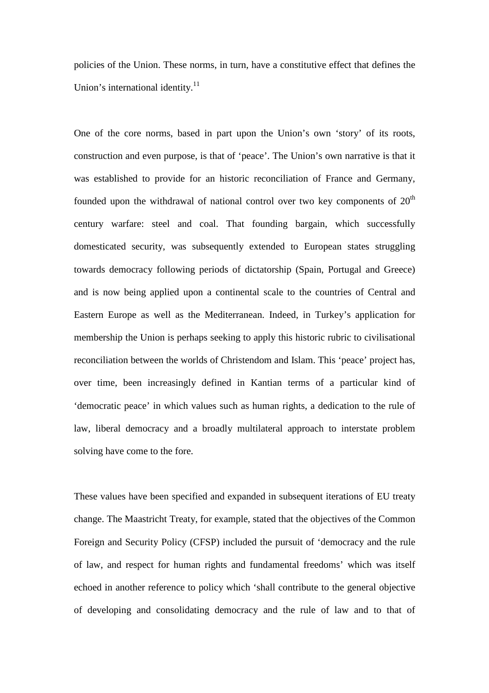policies of the Union. These norms, in turn, have a constitutive effect that defines the Union's international identity.<sup>11</sup>

One of the core norms, based in part upon the Union's own 'story' of its roots, construction and even purpose, is that of 'peace'. The Union's own narrative is that it was established to provide for an historic reconciliation of France and Germany, founded upon the withdrawal of national control over two key components of  $20<sup>th</sup>$ century warfare: steel and coal. That founding bargain, which successfully domesticated security, was subsequently extended to European states struggling towards democracy following periods of dictatorship (Spain, Portugal and Greece) and is now being applied upon a continental scale to the countries of Central and Eastern Europe as well as the Mediterranean. Indeed, in Turkey's application for membership the Union is perhaps seeking to apply this historic rubric to civilisational reconciliation between the worlds of Christendom and Islam. This 'peace' project has, over time, been increasingly defined in Kantian terms of a particular kind of 'democratic peace' in which values such as human rights, a dedication to the rule of law, liberal democracy and a broadly multilateral approach to interstate problem solving have come to the fore.

These values have been specified and expanded in subsequent iterations of EU treaty change. The Maastricht Treaty, for example, stated that the objectives of the Common Foreign and Security Policy (CFSP) included the pursuit of 'democracy and the rule of law, and respect for human rights and fundamental freedoms' which was itself echoed in another reference to policy which 'shall contribute to the general objective of developing and consolidating democracy and the rule of law and to that of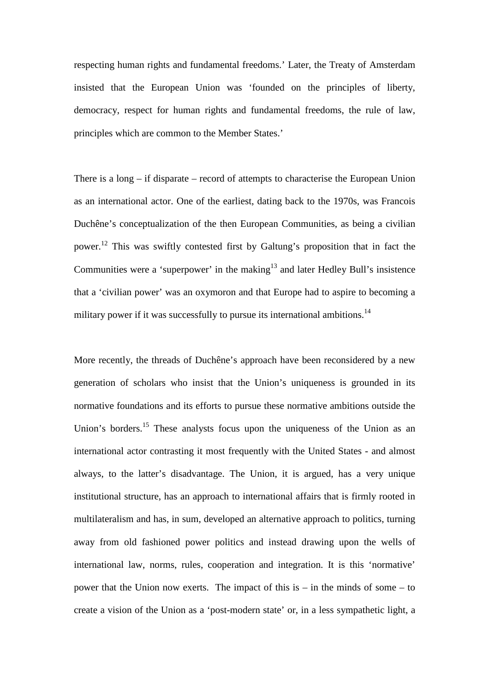respecting human rights and fundamental freedoms.' Later, the Treaty of Amsterdam insisted that the European Union was 'founded on the principles of liberty, democracy, respect for human rights and fundamental freedoms, the rule of law, principles which are common to the Member States.'

There is a long – if disparate – record of attempts to characterise the European Union as an international actor. One of the earliest, dating back to the 1970s, was Francois Duchêne's conceptualization of the then European Communities, as being a civilian power.<sup>12</sup> This was swiftly contested first by Galtung's proposition that in fact the Communities were a 'superpower' in the making<sup>13</sup> and later Hedley Bull's insistence that a 'civilian power' was an oxymoron and that Europe had to aspire to becoming a military power if it was successfully to pursue its international ambitions.<sup>14</sup>

More recently, the threads of Duchêne's approach have been reconsidered by a new generation of scholars who insist that the Union's uniqueness is grounded in its normative foundations and its efforts to pursue these normative ambitions outside the Union's borders.<sup>15</sup> These analysts focus upon the uniqueness of the Union as an international actor contrasting it most frequently with the United States - and almost always, to the latter's disadvantage. The Union, it is argued, has a very unique institutional structure, has an approach to international affairs that is firmly rooted in multilateralism and has, in sum, developed an alternative approach to politics, turning away from old fashioned power politics and instead drawing upon the wells of international law, norms, rules, cooperation and integration. It is this 'normative' power that the Union now exerts. The impact of this is – in the minds of some – to create a vision of the Union as a 'post-modern state' or, in a less sympathetic light, a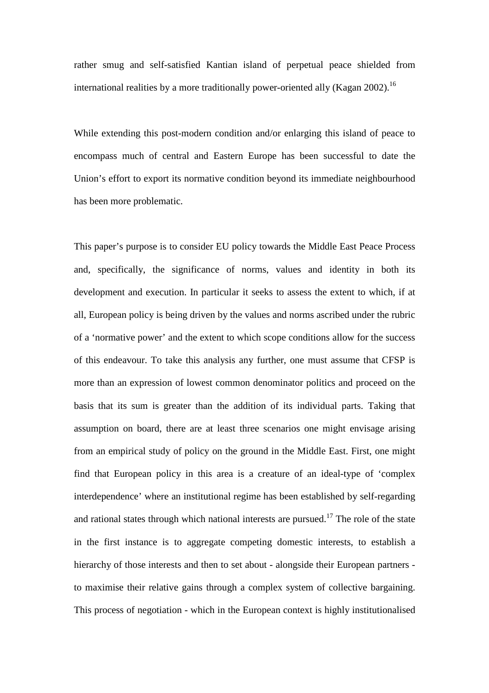rather smug and self-satisfied Kantian island of perpetual peace shielded from international realities by a more traditionally power-oriented ally (Kagan 2002).<sup>16</sup>

While extending this post-modern condition and/or enlarging this island of peace to encompass much of central and Eastern Europe has been successful to date the Union's effort to export its normative condition beyond its immediate neighbourhood has been more problematic.

This paper's purpose is to consider EU policy towards the Middle East Peace Process and, specifically, the significance of norms, values and identity in both its development and execution. In particular it seeks to assess the extent to which, if at all, European policy is being driven by the values and norms ascribed under the rubric of a 'normative power' and the extent to which scope conditions allow for the success of this endeavour. To take this analysis any further, one must assume that CFSP is more than an expression of lowest common denominator politics and proceed on the basis that its sum is greater than the addition of its individual parts. Taking that assumption on board, there are at least three scenarios one might envisage arising from an empirical study of policy on the ground in the Middle East. First, one might find that European policy in this area is a creature of an ideal-type of 'complex interdependence' where an institutional regime has been established by self-regarding and rational states through which national interests are pursued.<sup>17</sup> The role of the state in the first instance is to aggregate competing domestic interests, to establish a hierarchy of those interests and then to set about - alongside their European partners to maximise their relative gains through a complex system of collective bargaining. This process of negotiation - which in the European context is highly institutionalised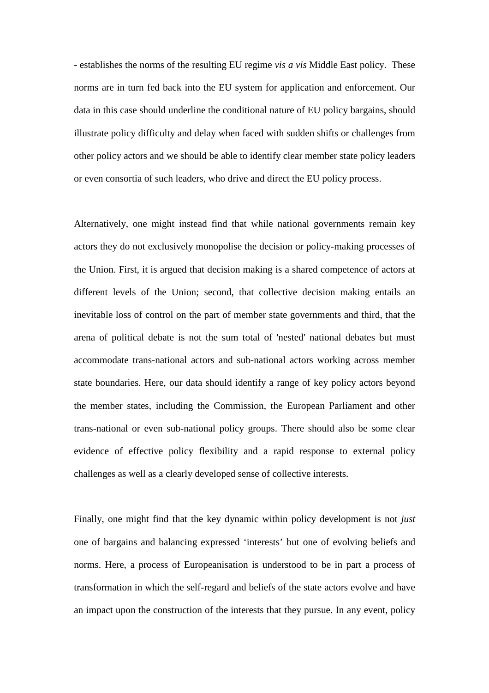- establishes the norms of the resulting EU regime *vis a vis* Middle East policy. These norms are in turn fed back into the EU system for application and enforcement. Our data in this case should underline the conditional nature of EU policy bargains, should illustrate policy difficulty and delay when faced with sudden shifts or challenges from other policy actors and we should be able to identify clear member state policy leaders or even consortia of such leaders, who drive and direct the EU policy process.

Alternatively, one might instead find that while national governments remain key actors they do not exclusively monopolise the decision or policy-making processes of the Union. First, it is argued that decision making is a shared competence of actors at different levels of the Union; second, that collective decision making entails an inevitable loss of control on the part of member state governments and third, that the arena of political debate is not the sum total of 'nested' national debates but must accommodate trans-national actors and sub-national actors working across member state boundaries. Here, our data should identify a range of key policy actors beyond the member states, including the Commission, the European Parliament and other trans-national or even sub-national policy groups. There should also be some clear evidence of effective policy flexibility and a rapid response to external policy challenges as well as a clearly developed sense of collective interests.

Finally, one might find that the key dynamic within policy development is not *just*  one of bargains and balancing expressed 'interests' but one of evolving beliefs and norms. Here, a process of Europeanisation is understood to be in part a process of transformation in which the self-regard and beliefs of the state actors evolve and have an impact upon the construction of the interests that they pursue. In any event, policy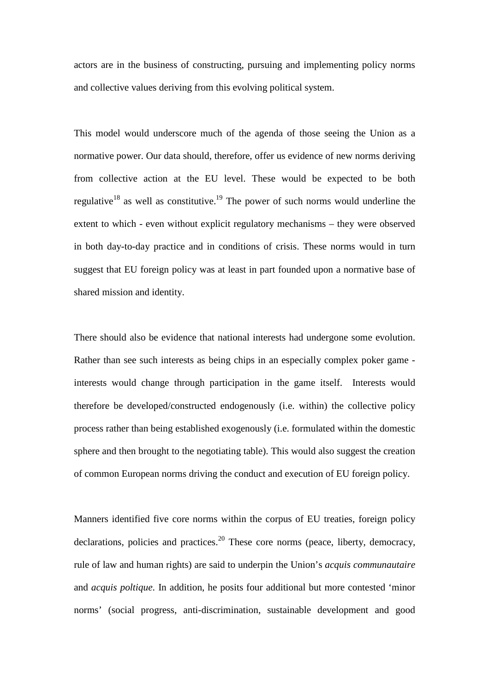actors are in the business of constructing, pursuing and implementing policy norms and collective values deriving from this evolving political system.

This model would underscore much of the agenda of those seeing the Union as a normative power. Our data should, therefore, offer us evidence of new norms deriving from collective action at the EU level. These would be expected to be both regulative<sup>18</sup> as well as constitutive.<sup>19</sup> The power of such norms would underline the extent to which - even without explicit regulatory mechanisms – they were observed in both day-to-day practice and in conditions of crisis. These norms would in turn suggest that EU foreign policy was at least in part founded upon a normative base of shared mission and identity.

There should also be evidence that national interests had undergone some evolution. Rather than see such interests as being chips in an especially complex poker game interests would change through participation in the game itself. Interests would therefore be developed/constructed endogenously (i.e. within) the collective policy process rather than being established exogenously (i.e. formulated within the domestic sphere and then brought to the negotiating table). This would also suggest the creation of common European norms driving the conduct and execution of EU foreign policy.

Manners identified five core norms within the corpus of EU treaties, foreign policy declarations, policies and practices.<sup>20</sup> These core norms (peace, liberty, democracy, rule of law and human rights) are said to underpin the Union's *acquis communautaire* and *acquis poltique*. In addition, he posits four additional but more contested 'minor norms' (social progress, anti-discrimination, sustainable development and good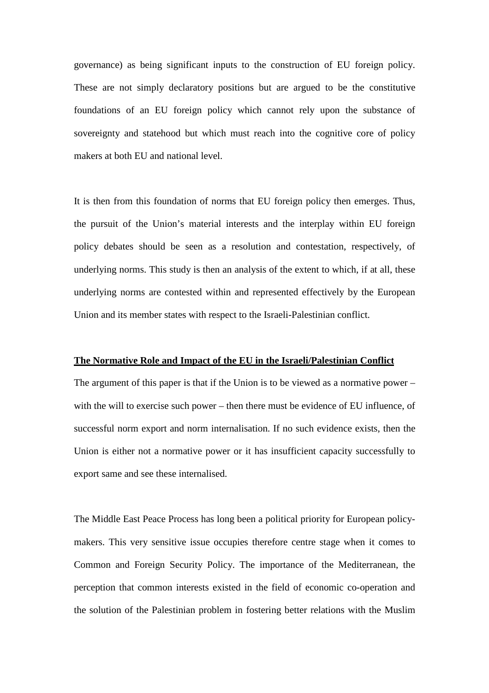governance) as being significant inputs to the construction of EU foreign policy. These are not simply declaratory positions but are argued to be the constitutive foundations of an EU foreign policy which cannot rely upon the substance of sovereignty and statehood but which must reach into the cognitive core of policy makers at both EU and national level.

It is then from this foundation of norms that EU foreign policy then emerges. Thus, the pursuit of the Union's material interests and the interplay within EU foreign policy debates should be seen as a resolution and contestation, respectively, of underlying norms. This study is then an analysis of the extent to which, if at all, these underlying norms are contested within and represented effectively by the European Union and its member states with respect to the Israeli-Palestinian conflict.

#### **The Normative Role and Impact of the EU in the Israeli/Palestinian Conflict**

The argument of this paper is that if the Union is to be viewed as a normative power  $$ with the will to exercise such power – then there must be evidence of EU influence, of successful norm export and norm internalisation. If no such evidence exists, then the Union is either not a normative power or it has insufficient capacity successfully to export same and see these internalised.

The Middle East Peace Process has long been a political priority for European policymakers. This very sensitive issue occupies therefore centre stage when it comes to Common and Foreign Security Policy. The importance of the Mediterranean, the perception that common interests existed in the field of economic co-operation and the solution of the Palestinian problem in fostering better relations with the Muslim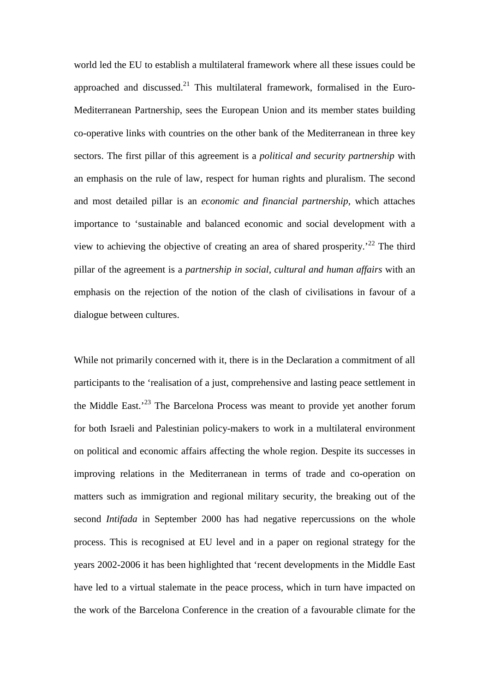world led the EU to establish a multilateral framework where all these issues could be approached and discussed.<sup>21</sup> This multilateral framework, formalised in the Euro-Mediterranean Partnership, sees the European Union and its member states building co-operative links with countries on the other bank of the Mediterranean in three key sectors. The first pillar of this agreement is a *political and security partnership* with an emphasis on the rule of law, respect for human rights and pluralism. The second and most detailed pillar is an *economic and financial partnership*, which attaches importance to 'sustainable and balanced economic and social development with a view to achieving the objective of creating an area of shared prosperity.<sup> $22$ </sup> The third pillar of the agreement is a *partnership in social, cultural and human affairs* with an emphasis on the rejection of the notion of the clash of civilisations in favour of a dialogue between cultures.

While not primarily concerned with it, there is in the Declaration a commitment of all participants to the 'realisation of a just, comprehensive and lasting peace settlement in the Middle East.<sup>23</sup> The Barcelona Process was meant to provide yet another forum for both Israeli and Palestinian policy-makers to work in a multilateral environment on political and economic affairs affecting the whole region. Despite its successes in improving relations in the Mediterranean in terms of trade and co-operation on matters such as immigration and regional military security, the breaking out of the second *Intifada* in September 2000 has had negative repercussions on the whole process. This is recognised at EU level and in a paper on regional strategy for the years 2002-2006 it has been highlighted that 'recent developments in the Middle East have led to a virtual stalemate in the peace process, which in turn have impacted on the work of the Barcelona Conference in the creation of a favourable climate for the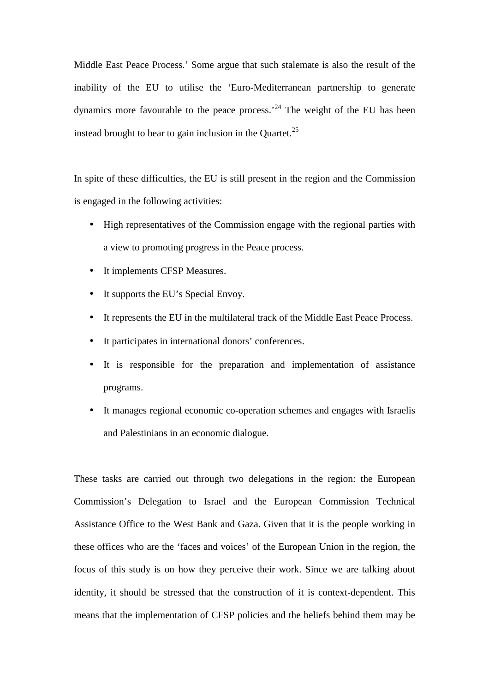Middle East Peace Process.' Some argue that such stalemate is also the result of the inability of the EU to utilise the 'Euro-Mediterranean partnership to generate dynamics more favourable to the peace process.<sup>24</sup> The weight of the EU has been instead brought to bear to gain inclusion in the Quartet.<sup>25</sup>

In spite of these difficulties, the EU is still present in the region and the Commission is engaged in the following activities:

- High representatives of the Commission engage with the regional parties with a view to promoting progress in the Peace process.
- It implements CFSP Measures.
- It supports the EU's Special Envoy.
- It represents the EU in the multilateral track of the Middle East Peace Process.
- It participates in international donors' conferences.
- It is responsible for the preparation and implementation of assistance programs.
- It manages regional economic co-operation schemes and engages with Israelis and Palestinians in an economic dialogue.

These tasks are carried out through two delegations in the region: the European Commission's Delegation to Israel and the European Commission Technical Assistance Office to the West Bank and Gaza. Given that it is the people working in these offices who are the 'faces and voices' of the European Union in the region, the focus of this study is on how they perceive their work. Since we are talking about identity, it should be stressed that the construction of it is context-dependent. This means that the implementation of CFSP policies and the beliefs behind them may be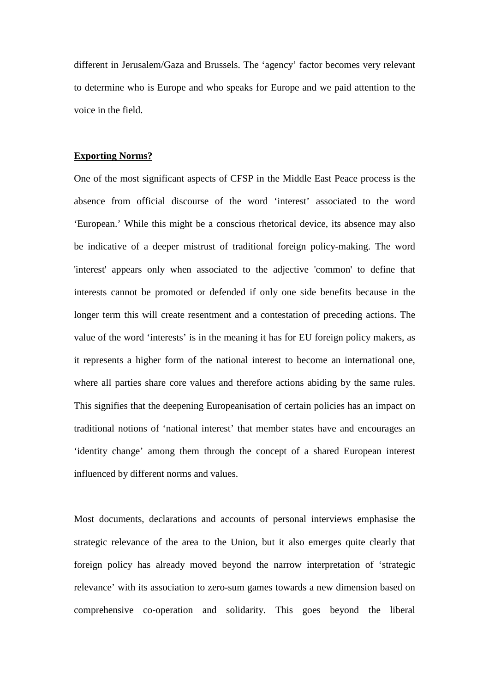different in Jerusalem/Gaza and Brussels. The 'agency' factor becomes very relevant to determine who is Europe and who speaks for Europe and we paid attention to the voice in the field.

## **Exporting Norms?**

One of the most significant aspects of CFSP in the Middle East Peace process is the absence from official discourse of the word 'interest' associated to the word 'European.' While this might be a conscious rhetorical device, its absence may also be indicative of a deeper mistrust of traditional foreign policy-making. The word 'interest' appears only when associated to the adjective 'common' to define that interests cannot be promoted or defended if only one side benefits because in the longer term this will create resentment and a contestation of preceding actions. The value of the word 'interests' is in the meaning it has for EU foreign policy makers, as it represents a higher form of the national interest to become an international one, where all parties share core values and therefore actions abiding by the same rules. This signifies that the deepening Europeanisation of certain policies has an impact on traditional notions of 'national interest' that member states have and encourages an 'identity change' among them through the concept of a shared European interest influenced by different norms and values.

Most documents, declarations and accounts of personal interviews emphasise the strategic relevance of the area to the Union, but it also emerges quite clearly that foreign policy has already moved beyond the narrow interpretation of 'strategic relevance' with its association to zero-sum games towards a new dimension based on comprehensive co-operation and solidarity. This goes beyond the liberal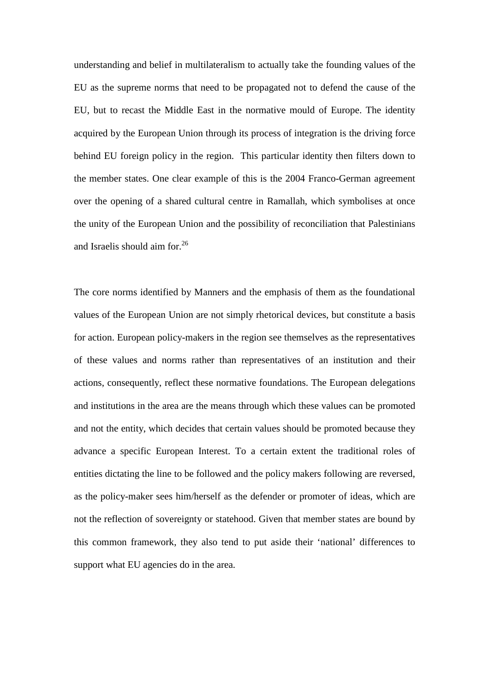understanding and belief in multilateralism to actually take the founding values of the EU as the supreme norms that need to be propagated not to defend the cause of the EU, but to recast the Middle East in the normative mould of Europe. The identity acquired by the European Union through its process of integration is the driving force behind EU foreign policy in the region. This particular identity then filters down to the member states. One clear example of this is the 2004 Franco-German agreement over the opening of a shared cultural centre in Ramallah, which symbolises at once the unity of the European Union and the possibility of reconciliation that Palestinians and Israelis should aim for.<sup>26</sup>

The core norms identified by Manners and the emphasis of them as the foundational values of the European Union are not simply rhetorical devices, but constitute a basis for action. European policy-makers in the region see themselves as the representatives of these values and norms rather than representatives of an institution and their actions, consequently, reflect these normative foundations. The European delegations and institutions in the area are the means through which these values can be promoted and not the entity, which decides that certain values should be promoted because they advance a specific European Interest. To a certain extent the traditional roles of entities dictating the line to be followed and the policy makers following are reversed, as the policy-maker sees him/herself as the defender or promoter of ideas, which are not the reflection of sovereignty or statehood. Given that member states are bound by this common framework, they also tend to put aside their 'national' differences to support what EU agencies do in the area.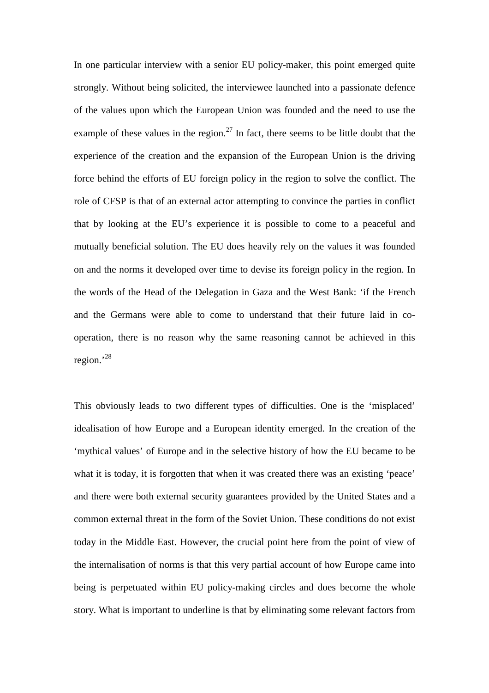In one particular interview with a senior EU policy-maker, this point emerged quite strongly. Without being solicited, the interviewee launched into a passionate defence of the values upon which the European Union was founded and the need to use the example of these values in the region.<sup>27</sup> In fact, there seems to be little doubt that the experience of the creation and the expansion of the European Union is the driving force behind the efforts of EU foreign policy in the region to solve the conflict. The role of CFSP is that of an external actor attempting to convince the parties in conflict that by looking at the EU's experience it is possible to come to a peaceful and mutually beneficial solution. The EU does heavily rely on the values it was founded on and the norms it developed over time to devise its foreign policy in the region. In the words of the Head of the Delegation in Gaza and the West Bank: 'if the French and the Germans were able to come to understand that their future laid in cooperation, there is no reason why the same reasoning cannot be achieved in this region.'<sup>28</sup>

This obviously leads to two different types of difficulties. One is the 'misplaced' idealisation of how Europe and a European identity emerged. In the creation of the 'mythical values' of Europe and in the selective history of how the EU became to be what it is today, it is forgotten that when it was created there was an existing 'peace' and there were both external security guarantees provided by the United States and a common external threat in the form of the Soviet Union. These conditions do not exist today in the Middle East. However, the crucial point here from the point of view of the internalisation of norms is that this very partial account of how Europe came into being is perpetuated within EU policy-making circles and does become the whole story. What is important to underline is that by eliminating some relevant factors from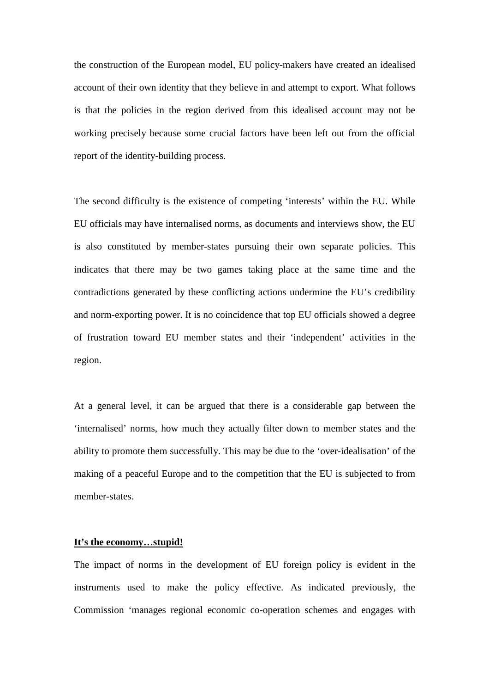the construction of the European model, EU policy-makers have created an idealised account of their own identity that they believe in and attempt to export. What follows is that the policies in the region derived from this idealised account may not be working precisely because some crucial factors have been left out from the official report of the identity-building process.

The second difficulty is the existence of competing 'interests' within the EU. While EU officials may have internalised norms, as documents and interviews show, the EU is also constituted by member-states pursuing their own separate policies. This indicates that there may be two games taking place at the same time and the contradictions generated by these conflicting actions undermine the EU's credibility and norm-exporting power. It is no coincidence that top EU officials showed a degree of frustration toward EU member states and their 'independent' activities in the region.

At a general level, it can be argued that there is a considerable gap between the 'internalised' norms, how much they actually filter down to member states and the ability to promote them successfully. This may be due to the 'over-idealisation' of the making of a peaceful Europe and to the competition that the EU is subjected to from member-states.

## **It's the economy…stupid!**

The impact of norms in the development of EU foreign policy is evident in the instruments used to make the policy effective. As indicated previously, the Commission 'manages regional economic co-operation schemes and engages with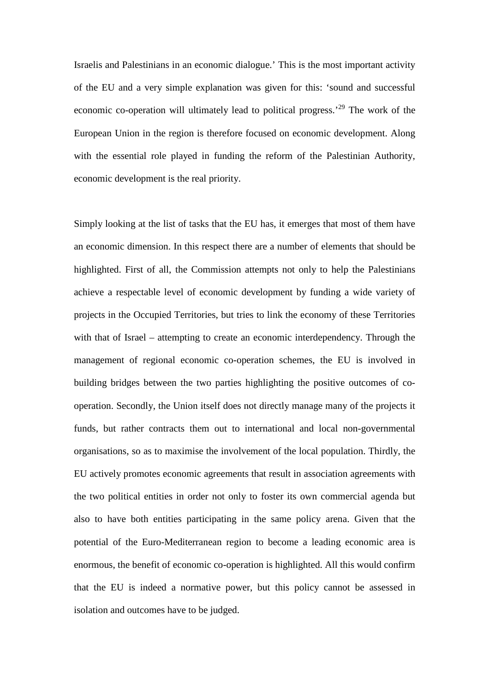Israelis and Palestinians in an economic dialogue.' This is the most important activity of the EU and a very simple explanation was given for this: 'sound and successful economic co-operation will ultimately lead to political progress.<sup> $29$ </sup> The work of the European Union in the region is therefore focused on economic development. Along with the essential role played in funding the reform of the Palestinian Authority, economic development is the real priority.

Simply looking at the list of tasks that the EU has, it emerges that most of them have an economic dimension. In this respect there are a number of elements that should be highlighted. First of all, the Commission attempts not only to help the Palestinians achieve a respectable level of economic development by funding a wide variety of projects in the Occupied Territories, but tries to link the economy of these Territories with that of Israel – attempting to create an economic interdependency. Through the management of regional economic co-operation schemes, the EU is involved in building bridges between the two parties highlighting the positive outcomes of cooperation. Secondly, the Union itself does not directly manage many of the projects it funds, but rather contracts them out to international and local non-governmental organisations, so as to maximise the involvement of the local population. Thirdly, the EU actively promotes economic agreements that result in association agreements with the two political entities in order not only to foster its own commercial agenda but also to have both entities participating in the same policy arena. Given that the potential of the Euro-Mediterranean region to become a leading economic area is enormous, the benefit of economic co-operation is highlighted. All this would confirm that the EU is indeed a normative power, but this policy cannot be assessed in isolation and outcomes have to be judged.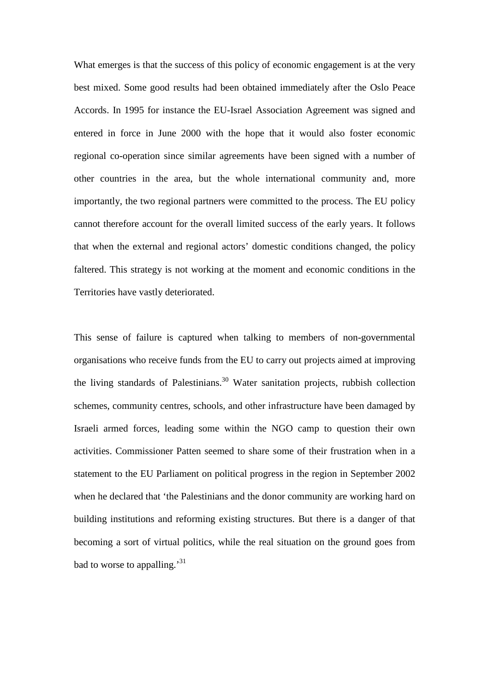What emerges is that the success of this policy of economic engagement is at the very best mixed. Some good results had been obtained immediately after the Oslo Peace Accords. In 1995 for instance the EU-Israel Association Agreement was signed and entered in force in June 2000 with the hope that it would also foster economic regional co-operation since similar agreements have been signed with a number of other countries in the area, but the whole international community and, more importantly, the two regional partners were committed to the process. The EU policy cannot therefore account for the overall limited success of the early years. It follows that when the external and regional actors' domestic conditions changed, the policy faltered. This strategy is not working at the moment and economic conditions in the Territories have vastly deteriorated.

This sense of failure is captured when talking to members of non-governmental organisations who receive funds from the EU to carry out projects aimed at improving the living standards of Palestinians.<sup>30</sup> Water sanitation projects, rubbish collection schemes, community centres, schools, and other infrastructure have been damaged by Israeli armed forces, leading some within the NGO camp to question their own activities. Commissioner Patten seemed to share some of their frustration when in a statement to the EU Parliament on political progress in the region in September 2002 when he declared that 'the Palestinians and the donor community are working hard on building institutions and reforming existing structures. But there is a danger of that becoming a sort of virtual politics, while the real situation on the ground goes from bad to worse to appalling.<sup>31</sup>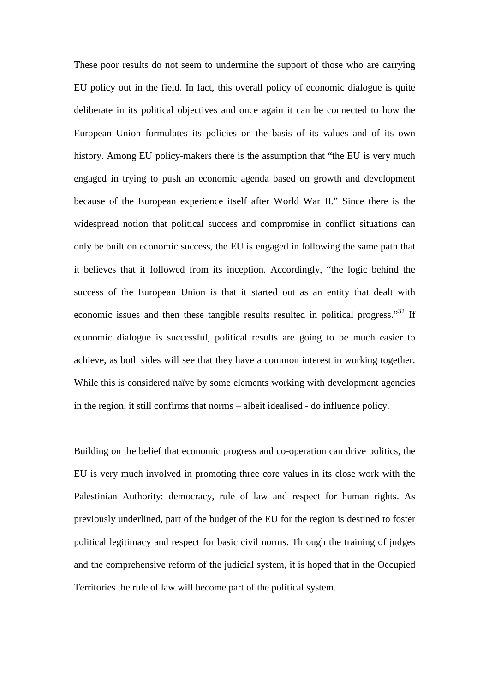These poor results do not seem to undermine the support of those who are carrying EU policy out in the field. In fact, this overall policy of economic dialogue is quite deliberate in its political objectives and once again it can be connected to how the European Union formulates its policies on the basis of its values and of its own history. Among EU policy-makers there is the assumption that "the EU is very much engaged in trying to push an economic agenda based on growth and development because of the European experience itself after World War II." Since there is the widespread notion that political success and compromise in conflict situations can only be built on economic success, the EU is engaged in following the same path that it believes that it followed from its inception. Accordingly, "the logic behind the success of the European Union is that it started out as an entity that dealt with economic issues and then these tangible results resulted in political progress."<sup>32</sup> If economic dialogue is successful, political results are going to be much easier to achieve, as both sides will see that they have a common interest in working together. While this is considered naïve by some elements working with development agencies in the region, it still confirms that norms – albeit idealised - do influence policy.

Building on the belief that economic progress and co-operation can drive politics, the EU is very much involved in promoting three core values in its close work with the Palestinian Authority: democracy, rule of law and respect for human rights. As previously underlined, part of the budget of the EU for the region is destined to foster political legitimacy and respect for basic civil norms. Through the training of judges and the comprehensive reform of the judicial system, it is hoped that in the Occupied Territories the rule of law will become part of the political system.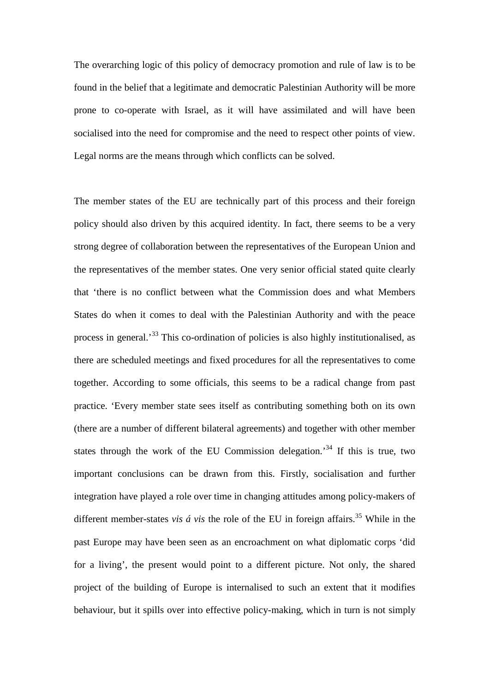The overarching logic of this policy of democracy promotion and rule of law is to be found in the belief that a legitimate and democratic Palestinian Authority will be more prone to co-operate with Israel, as it will have assimilated and will have been socialised into the need for compromise and the need to respect other points of view. Legal norms are the means through which conflicts can be solved.

The member states of the EU are technically part of this process and their foreign policy should also driven by this acquired identity. In fact, there seems to be a very strong degree of collaboration between the representatives of the European Union and the representatives of the member states. One very senior official stated quite clearly that 'there is no conflict between what the Commission does and what Members States do when it comes to deal with the Palestinian Authority and with the peace process in general.'<sup>33</sup> This co-ordination of policies is also highly institutionalised, as there are scheduled meetings and fixed procedures for all the representatives to come together. According to some officials, this seems to be a radical change from past practice. 'Every member state sees itself as contributing something both on its own (there are a number of different bilateral agreements) and together with other member states through the work of the EU Commission delegation.'<sup>34</sup> If this is true, two important conclusions can be drawn from this. Firstly, socialisation and further integration have played a role over time in changing attitudes among policy-makers of different member-states *vis á vis* the role of the EU in foreign affairs.<sup>35</sup> While in the past Europe may have been seen as an encroachment on what diplomatic corps 'did for a living', the present would point to a different picture. Not only, the shared project of the building of Europe is internalised to such an extent that it modifies behaviour, but it spills over into effective policy-making, which in turn is not simply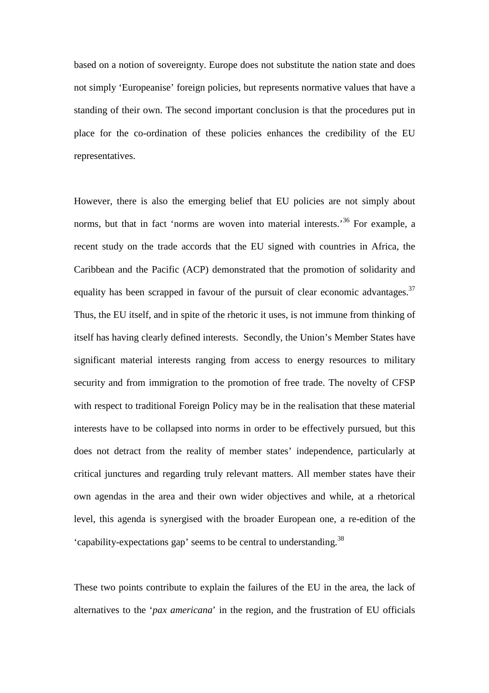based on a notion of sovereignty. Europe does not substitute the nation state and does not simply 'Europeanise' foreign policies, but represents normative values that have a standing of their own. The second important conclusion is that the procedures put in place for the co-ordination of these policies enhances the credibility of the EU representatives.

However, there is also the emerging belief that EU policies are not simply about norms, but that in fact 'norms are woven into material interests.<sup>36</sup> For example, a recent study on the trade accords that the EU signed with countries in Africa, the Caribbean and the Pacific (ACP) demonstrated that the promotion of solidarity and equality has been scrapped in favour of the pursuit of clear economic advantages.<sup>37</sup> Thus, the EU itself, and in spite of the rhetoric it uses, is not immune from thinking of itself has having clearly defined interests. Secondly, the Union's Member States have significant material interests ranging from access to energy resources to military security and from immigration to the promotion of free trade. The novelty of CFSP with respect to traditional Foreign Policy may be in the realisation that these material interests have to be collapsed into norms in order to be effectively pursued, but this does not detract from the reality of member states' independence, particularly at critical junctures and regarding truly relevant matters. All member states have their own agendas in the area and their own wider objectives and while, at a rhetorical level, this agenda is synergised with the broader European one, a re-edition of the 'capability-expectations gap' seems to be central to understanding.<sup>38</sup>

These two points contribute to explain the failures of the EU in the area, the lack of alternatives to the '*pax americana*' in the region, and the frustration of EU officials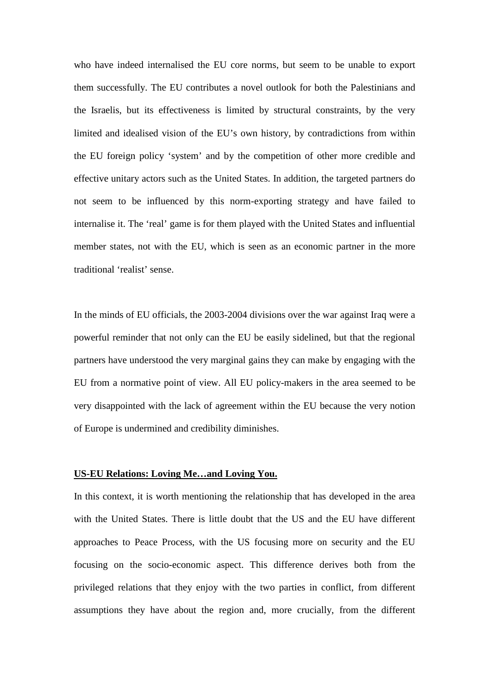who have indeed internalised the EU core norms, but seem to be unable to export them successfully. The EU contributes a novel outlook for both the Palestinians and the Israelis, but its effectiveness is limited by structural constraints, by the very limited and idealised vision of the EU's own history, by contradictions from within the EU foreign policy 'system' and by the competition of other more credible and effective unitary actors such as the United States. In addition, the targeted partners do not seem to be influenced by this norm-exporting strategy and have failed to internalise it. The 'real' game is for them played with the United States and influential member states, not with the EU, which is seen as an economic partner in the more traditional 'realist' sense.

In the minds of EU officials, the 2003-2004 divisions over the war against Iraq were a powerful reminder that not only can the EU be easily sidelined, but that the regional partners have understood the very marginal gains they can make by engaging with the EU from a normative point of view. All EU policy-makers in the area seemed to be very disappointed with the lack of agreement within the EU because the very notion of Europe is undermined and credibility diminishes.

## **US-EU Relations: Loving Me…and Loving You.**

In this context, it is worth mentioning the relationship that has developed in the area with the United States. There is little doubt that the US and the EU have different approaches to Peace Process, with the US focusing more on security and the EU focusing on the socio-economic aspect. This difference derives both from the privileged relations that they enjoy with the two parties in conflict, from different assumptions they have about the region and, more crucially, from the different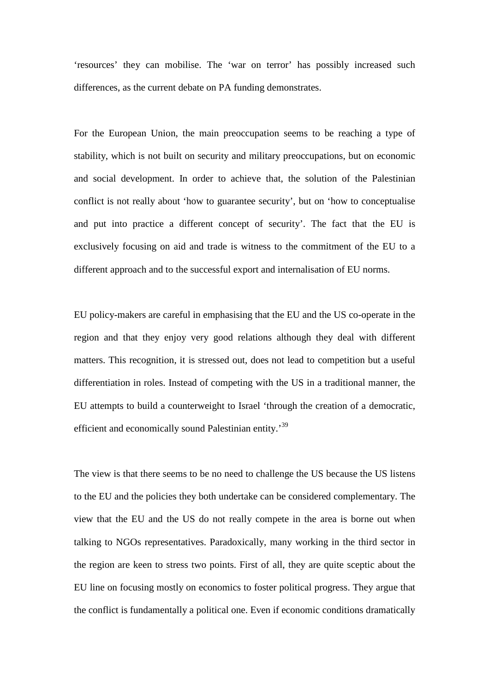'resources' they can mobilise. The 'war on terror' has possibly increased such differences, as the current debate on PA funding demonstrates.

For the European Union, the main preoccupation seems to be reaching a type of stability, which is not built on security and military preoccupations, but on economic and social development. In order to achieve that, the solution of the Palestinian conflict is not really about 'how to guarantee security', but on 'how to conceptualise and put into practice a different concept of security'. The fact that the EU is exclusively focusing on aid and trade is witness to the commitment of the EU to a different approach and to the successful export and internalisation of EU norms.

EU policy-makers are careful in emphasising that the EU and the US co-operate in the region and that they enjoy very good relations although they deal with different matters. This recognition, it is stressed out, does not lead to competition but a useful differentiation in roles. Instead of competing with the US in a traditional manner, the EU attempts to build a counterweight to Israel 'through the creation of a democratic, efficient and economically sound Palestinian entity.<sup>39</sup>

The view is that there seems to be no need to challenge the US because the US listens to the EU and the policies they both undertake can be considered complementary. The view that the EU and the US do not really compete in the area is borne out when talking to NGOs representatives. Paradoxically, many working in the third sector in the region are keen to stress two points. First of all, they are quite sceptic about the EU line on focusing mostly on economics to foster political progress. They argue that the conflict is fundamentally a political one. Even if economic conditions dramatically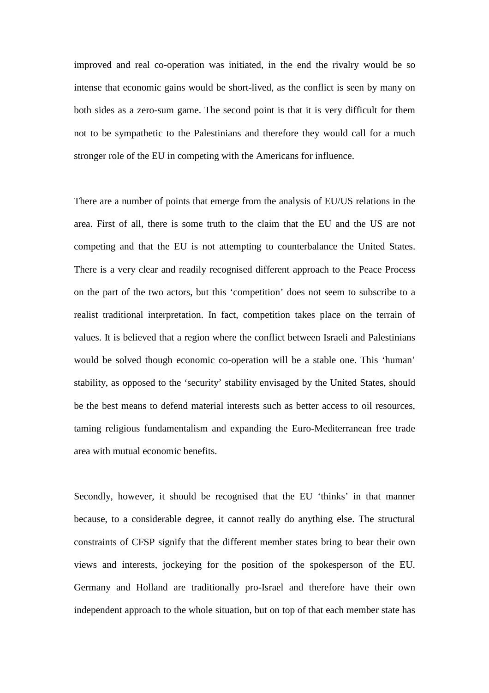improved and real co-operation was initiated, in the end the rivalry would be so intense that economic gains would be short-lived, as the conflict is seen by many on both sides as a zero-sum game. The second point is that it is very difficult for them not to be sympathetic to the Palestinians and therefore they would call for a much stronger role of the EU in competing with the Americans for influence.

There are a number of points that emerge from the analysis of EU/US relations in the area. First of all, there is some truth to the claim that the EU and the US are not competing and that the EU is not attempting to counterbalance the United States. There is a very clear and readily recognised different approach to the Peace Process on the part of the two actors, but this 'competition' does not seem to subscribe to a realist traditional interpretation. In fact, competition takes place on the terrain of values. It is believed that a region where the conflict between Israeli and Palestinians would be solved though economic co-operation will be a stable one. This 'human' stability, as opposed to the 'security' stability envisaged by the United States, should be the best means to defend material interests such as better access to oil resources, taming religious fundamentalism and expanding the Euro-Mediterranean free trade area with mutual economic benefits.

Secondly, however, it should be recognised that the EU 'thinks' in that manner because, to a considerable degree, it cannot really do anything else. The structural constraints of CFSP signify that the different member states bring to bear their own views and interests, jockeying for the position of the spokesperson of the EU. Germany and Holland are traditionally pro-Israel and therefore have their own independent approach to the whole situation, but on top of that each member state has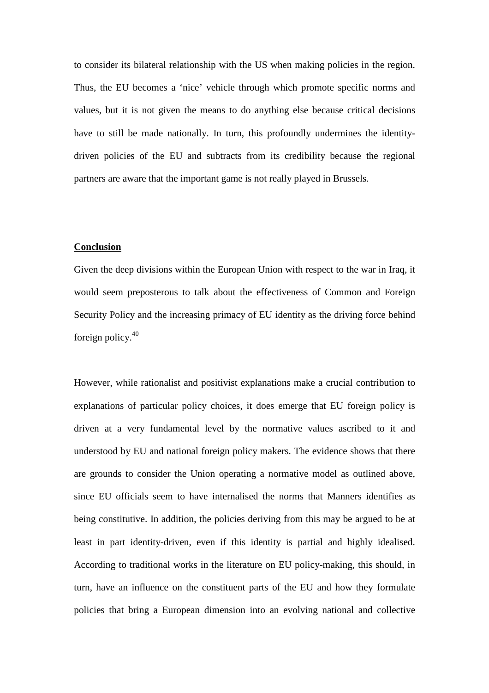to consider its bilateral relationship with the US when making policies in the region. Thus, the EU becomes a 'nice' vehicle through which promote specific norms and values, but it is not given the means to do anything else because critical decisions have to still be made nationally. In turn, this profoundly undermines the identitydriven policies of the EU and subtracts from its credibility because the regional partners are aware that the important game is not really played in Brussels.

#### **Conclusion**

Given the deep divisions within the European Union with respect to the war in Iraq, it would seem preposterous to talk about the effectiveness of Common and Foreign Security Policy and the increasing primacy of EU identity as the driving force behind foreign policy.<sup>40</sup>

However, while rationalist and positivist explanations make a crucial contribution to explanations of particular policy choices, it does emerge that EU foreign policy is driven at a very fundamental level by the normative values ascribed to it and understood by EU and national foreign policy makers. The evidence shows that there are grounds to consider the Union operating a normative model as outlined above, since EU officials seem to have internalised the norms that Manners identifies as being constitutive. In addition, the policies deriving from this may be argued to be at least in part identity-driven, even if this identity is partial and highly idealised. According to traditional works in the literature on EU policy-making, this should, in turn, have an influence on the constituent parts of the EU and how they formulate policies that bring a European dimension into an evolving national and collective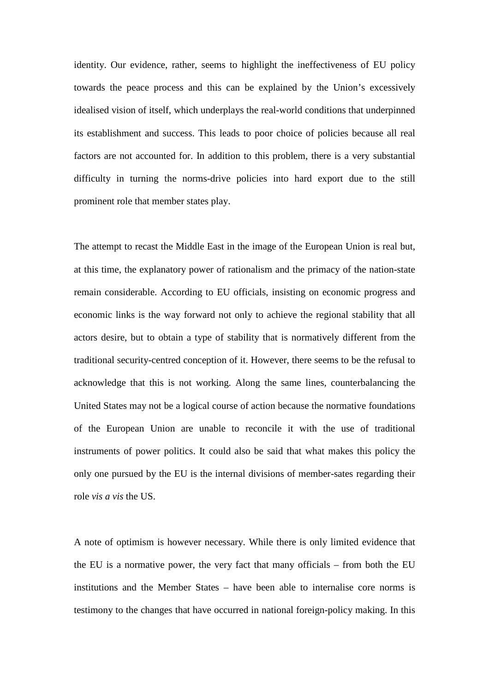identity. Our evidence, rather, seems to highlight the ineffectiveness of EU policy towards the peace process and this can be explained by the Union's excessively idealised vision of itself, which underplays the real-world conditions that underpinned its establishment and success. This leads to poor choice of policies because all real factors are not accounted for. In addition to this problem, there is a very substantial difficulty in turning the norms-drive policies into hard export due to the still prominent role that member states play.

The attempt to recast the Middle East in the image of the European Union is real but, at this time, the explanatory power of rationalism and the primacy of the nation-state remain considerable. According to EU officials, insisting on economic progress and economic links is the way forward not only to achieve the regional stability that all actors desire, but to obtain a type of stability that is normatively different from the traditional security-centred conception of it. However, there seems to be the refusal to acknowledge that this is not working. Along the same lines, counterbalancing the United States may not be a logical course of action because the normative foundations of the European Union are unable to reconcile it with the use of traditional instruments of power politics. It could also be said that what makes this policy the only one pursued by the EU is the internal divisions of member-sates regarding their role *vis a vis* the US.

A note of optimism is however necessary. While there is only limited evidence that the EU is a normative power, the very fact that many officials – from both the EU institutions and the Member States – have been able to internalise core norms is testimony to the changes that have occurred in national foreign-policy making. In this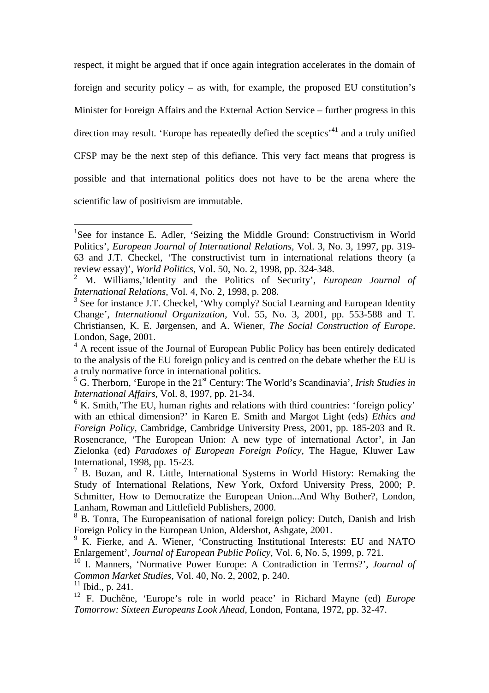respect, it might be argued that if once again integration accelerates in the domain of foreign and security policy – as with, for example, the proposed EU constitution's Minister for Foreign Affairs and the External Action Service – further progress in this direction may result. 'Europe has repeatedly defied the sceptics'<sup>41</sup> and a truly unified CFSP may be the next step of this defiance. This very fact means that progress is possible and that international politics does not have to be the arena where the scientific law of positivism are immutable.

 $\overline{\phantom{a}}$ 

<sup>&</sup>lt;sup>1</sup>See for instance E. Adler, 'Seizing the Middle Ground: Constructivism in World Politics', *European Journal of International Relations,* Vol. 3, No. 3, 1997, pp. 319- 63 and J.T. Checkel, 'The constructivist turn in international relations theory (a review essay)', *World Politics*, Vol. 50, No. 2, 1998, pp. 324-348.

<sup>2</sup> M. Williams,'Identity and the Politics of Security', *European Journal of International Relations,* Vol. 4, No. 2, 1998, p. 208.

<sup>&</sup>lt;sup>3</sup> See for instance J.T. Checkel, 'Why comply? Social Learning and European Identity Change', *International Organization*, Vol. 55, No. 3, 2001, pp. 553-588 and T. Christiansen, K. E. Jørgensen, and A. Wiener, *The Social Construction of Europe*. London, Sage, 2001.

<sup>&</sup>lt;sup>4</sup> A recent issue of the Journal of European Public Policy has been entirely dedicated to the analysis of the EU foreign policy and is centred on the debate whether the EU is a truly normative force in international politics.

<sup>&</sup>lt;sup>5</sup> G. Therborn, 'Europe in the 21<sup>st</sup> Century: The World's Scandinavia', *Irish Studies in International Affairs*, Vol. 8, 1997, pp. 21-34.

<sup>&</sup>lt;sup>6</sup> K. Smith,'The EU, human rights and relations with third countries: 'foreign policy' with an ethical dimension?' in Karen E. Smith and Margot Light (eds) *Ethics and Foreign Policy*, Cambridge, Cambridge University Press, 2001, pp. 185-203 and R. Rosencrance, 'The European Union: A new type of international Actor', in Jan Zielonka (ed) *Paradoxes of European Foreign Policy*, The Hague, Kluwer Law International, 1998, pp. 15-23.

<sup>&</sup>lt;sup>7</sup> B. Buzan, and R. Little, International Systems in World History: Remaking the Study of International Relations, New York, Oxford University Press, 2000; P. Schmitter, How to Democratize the European Union...And Why Bother?, London, Lanham, Rowman and Littlefield Publishers, 2000.

<sup>&</sup>lt;sup>8</sup> B. Tonra, The Europeanisation of national foreign policy: Dutch, Danish and Irish Foreign Policy in the European Union, Aldershot, Ashgate, 2001.

<sup>&</sup>lt;sup>9</sup> K. Fierke, and A. Wiener, 'Constructing Institutional Interests: EU and NATO Enlargement', *Journal of European Public Policy,* Vol. 6, No. 5, 1999, p. 721.

<sup>10</sup> I. Manners, 'Normative Power Europe: A Contradiction in Terms?', *Journal of Common Market Studies,* Vol. 40, No. 2, 2002, p. 240.

<sup>&</sup>lt;sup>11</sup> Ibid., p. 241.

<sup>12</sup> F. Duchêne, 'Europe's role in world peace' in Richard Mayne (ed) *Europe Tomorrow: Sixteen Europeans Look Ahead*, London, Fontana, 1972, pp. 32-47.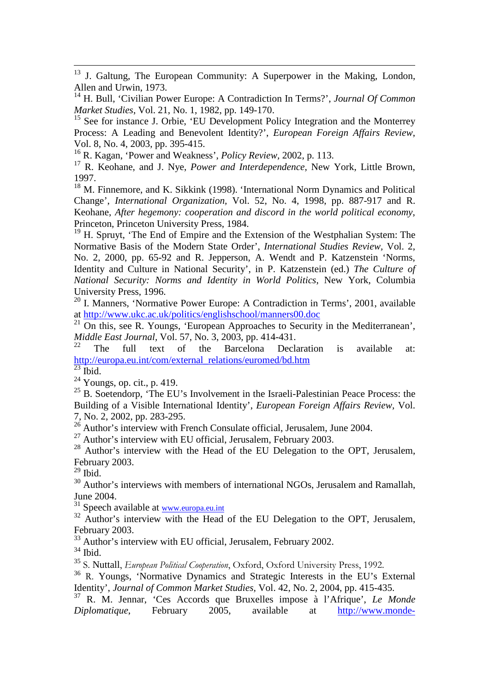$13$  J. Galtung, The European Community: A Superpower in the Making, London, Allen and Urwin, 1973.

<sup>14</sup> H. Bull, 'Civilian Power Europe: A Contradiction In Terms?', *Journal Of Common Market Studies*, Vol. 21, No. 1, 1982, pp. 149-170.

<sup>15</sup> See for instance J. Orbie, 'EU Development Policy Integration and the Monterrey Process: A Leading and Benevolent Identity?', *European Foreign Affairs Review*, Vol. 8, No. 4, 2003, pp. 395-415.

<sup>16</sup> R. Kagan, 'Power and Weakness', *Policy Review,* 2002, p. 113.

<sup>17</sup> R. Keohane, and J. Nye, *Power and Interdependence*, New York, Little Brown, 1997.

<sup>18</sup> M. Finnemore, and K. Sikkink (1998). 'International Norm Dynamics and Political Change', *International Organization,* Vol. 52, No. 4, 1998, pp. 887-917 and R. Keohane, *After hegemony: cooperation and discord in the world political economy*, Princeton, Princeton University Press, 1984.

 $19$  H. Spruyt, 'The End of Empire and the Extension of the Westphalian System: The Normative Basis of the Modern State Order', *International Studies Review,* Vol. 2, No. 2, 2000, pp. 65-92 and R. Jepperson, A. Wendt and P. Katzenstein 'Norms, Identity and Culture in National Security', in P. Katzenstein (ed.) *The Culture of National Security: Norms and Identity in World Politics*, New York, Columbia University Press, 1996.

<sup>20</sup> I. Manners, 'Normative Power Europe: A Contradiction in Terms', 2001, available at http://www.ukc.ac.uk/politics/englishschool/manners00.doc

 $21$  On this, see R. Youngs, 'European Approaches to Security in the Mediterranean', *Middle East Journal, Vol.* 57, No. 3, 2003, pp. 414-431.<br><sup>22</sup> The full text of the Barcelona Decla

The full text of the Barcelona Declaration is available at: http://europa.eu.int/com/external\_relations/euromed/bd.htm

 $\overline{^{23}}$  Ibid.

 $\overline{\phantom{a}}$ 

 $24$  Youngs, op. cit., p. 419.

 $25$  B. Soetendorp, 'The EU's Involvement in the Israeli-Palestinian Peace Process: the Building of a Visible International Identity', *European Foreign Affairs Review,* Vol. 7, No. 2, 2002, pp. 283-295.

 $26$  Author's interview with French Consulate official, Jerusalem, June 2004.

 $27$  Author's interview with EU official, Jerusalem, February 2003.

<sup>28</sup> Author's interview with the Head of the EU Delegation to the OPT, Jerusalem, February 2003.

 $29$  Ibid.

<sup>30</sup> Author's interviews with members of international NGOs, Jerusalem and Ramallah, June 2004.

 $31 \text{ Speech available at }$  www.europa.eu.int

 $32$  Author's interview with the Head of the EU Delegation to the OPT, Jerusalem, February 2003.

<sup>33</sup> Author's interview with EU official, Jerusalem, February 2002.

 $34$  Ibid.

<sup>35</sup> S. Nuttall, *European Political Cooperation*, Oxford, Oxford University Press, 1992.

<sup>36</sup> R. Youngs, 'Normative Dynamics and Strategic Interests in the EU's External Identity', *Journal of Common Market Studies,* Vol. 42, No. 2, 2004, pp. 415-435.

<sup>37</sup> R. M. Jennar, 'Ces Accords que Bruxelles impose à l'Afrique', *Le Monde Diplomatique*, February 2005, available at http://www.monde